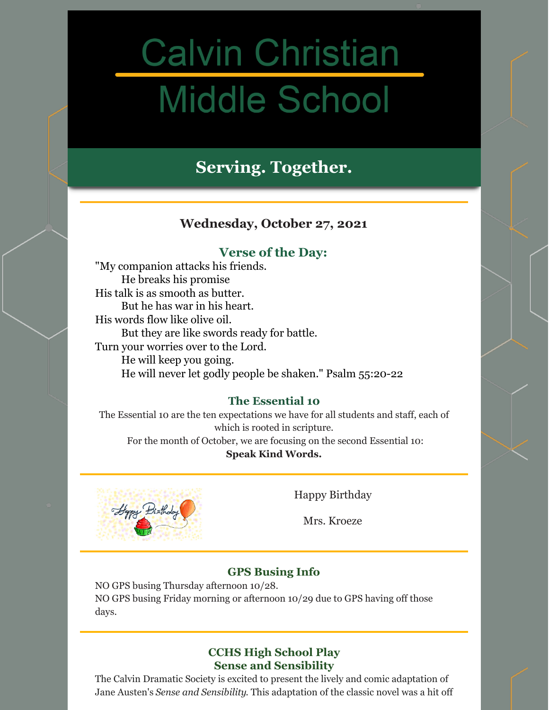# **Calvin Christian Middle School**

## **Serving. Together.**

## **Wednesday, October 27, 2021**

## **Verse of the Day:**

"My companion attacks his friends. He breaks his promise His talk is as smooth as butter. But he has war in his heart. His words flow like olive oil. But they are like swords ready for battle. Turn your worries over to the Lord. He will keep you going. He will never let godly people be shaken." Psalm 55:20-22

## **The Essential 10**

The Essential 10 are the ten expectations we have for all students and staff, each of which is rooted in scripture.

For the month of October, we are focusing on the second Essential 10: **Speak Kind Words.**



Happy Birthday

Mrs. Kroeze

## **GPS Busing Info**

NO GPS busing Thursday afternoon 10/28. NO GPS busing Friday morning or afternoon 10/29 due to GPS having off those days.

## **CCHS High School Play Sense and Sensibility**

The Calvin Dramatic Society is excited to present the lively and comic adaptation of Jane Austen's *Sense and Sensibility*. This adaptation of the classic novel was a hit off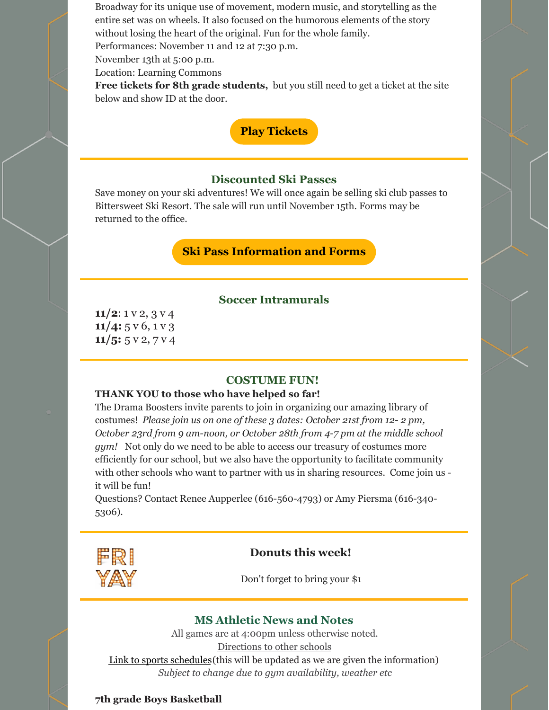Broadway for its unique use of movement, modern music, and storytelling as the entire set was on wheels. It also focused on the humorous elements of the story without losing the heart of the original. Fun for the whole family.

Performances: November 11 and 12 at 7:30 p.m.

November 13th at 5:00 p.m.

Location: Learning Commons

**Free tickets for 8th grade students,** but you still need to get a ticket at the site below and show ID at the door.



#### **Discounted Ski Passes**

Save money on your ski adventures! We will once again be selling ski club passes to Bittersweet Ski Resort. The sale will run until November 15th. Forms may be returned to the office.

### **Ski Pass [Information](https://gccsski.weebly.com/) and Forms**

#### **Soccer Intramurals**

**11/2**: 1 v 2, 3 v 4 **11/4:** 5 v 6, 1 v 3 **11/5:** 5 v 2, 7 v 4

#### **COSTUME FUN!**

#### **THANK YOU to those who have helped so far!**

The Drama Boosters invite parents to join in organizing our amazing library of costumes! *Please join us on one of these 3 dates: October 21st from 12- 2 pm, October 23rd from 9 am-noon, or October 28th from 4-7 pm at the middle school gym!* Not only do we need to be able to access our treasury of costumes more efficiently for our school, but we also have the opportunity to facilitate community with other schools who want to partner with us in sharing resources. Come join us it will be fun!

Questions? Contact Renee Aupperlee (616-560-4793) or Amy Piersma (616-340- 5306).



#### **Donuts this week!**

Don't forget to bring your \$1

#### **MS Athletic News and Notes**

All games are at 4:00pm unless otherwise noted. [Directions](https://www.gosquires.org/sports/middle-school-sports/locations/) to other schools Link to sports [schedules](https://www.gosquires.org/sports/middle-school-sports/schedule/)(this will be updated as we are given the information) *Subject to change due to gym availability, weather etc*

#### **7th grade Boys Basketball**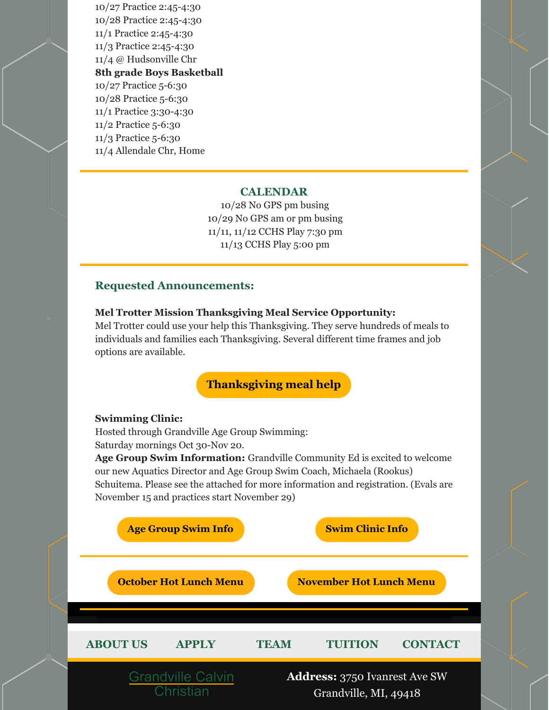10/27 Practice 2:45-4:30 10/28 Practice 2:45-4:30 11/1 Practice 2:45-4:30 11/3 Practice 2:45-4:30 11/4 @ Hudsonville Chr **8th grade Boys Basketball** 10/27 Practice 5-6:30 10/28 Practice 5-6:30 11/1 Practice 3:30-4:30 11/2 Practice 5-6:30 11/3 Practice 5-6:30 11/4 Allendale Chr, Home

#### **CALENDAR**

10/28 No GPS pm busing 10/29 No GPS am or pm busing 11/11, 11/12 CCHS Play 7:30 pm 11/13 CCHS Play 5:00 pm

#### **Requested Announcements:**

#### **Mel Trotter Mission Thanksgiving Meal Service Opportunity:**

Mel Trotter could use your help this Thanksgiving. They serve hundreds of meals to individuals and families each Thanksgiving. Several different time frames and job options are available.

## **[Thanksgiving](https://www.ticketfalcon.com/e/2021thanksgiving/) meal help**

#### **Swimming Clinic:**

Hosted through Grandville Age Group Swimming: Saturday mornings Oct 30-Nov 20.

**Age Group Swim Information:** Grandville Community Ed is excited to welcome our new Aquatics Director and Age Group Swim Coach, Michaela (Rookus) Schuitema. Please see the attached for more information and registration. (Evals are November 15 and practices start November 29)